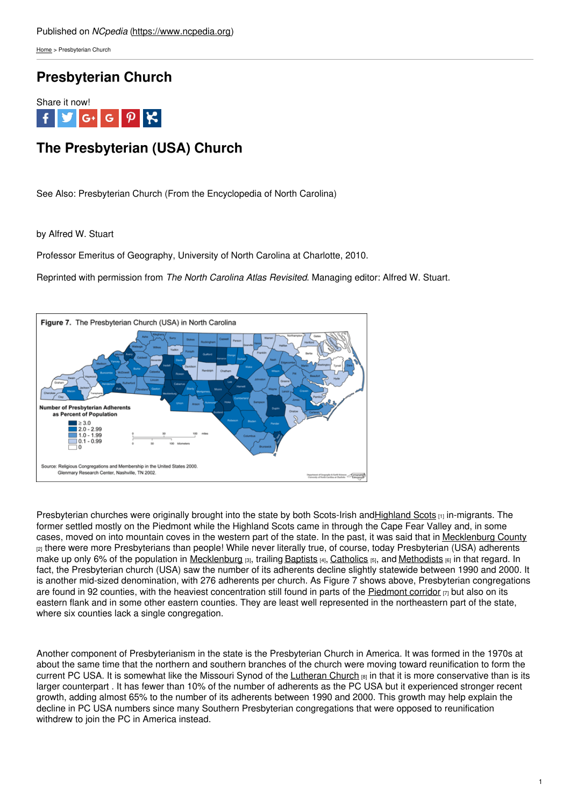[Home](https://www.ncpedia.org/) > Presbyterian Church

## **Presbyterian Church**



# **The Presbyterian (USA) Church**

See Also: Presbyterian Church (From the Encyclopedia of North Carolina)

by Alfred W. Stuart

Professor Emeritus of Geography, [University](http://www.social9.com) of North Carolina at Charlotte, 2010.

Reprinted with permission from *The North Carolina Atlas Revisited*. Managing editor: Alfred W. Stuart.



Presbyterian churches were originally brought into the state by both Scots-Irish an[dHighland](https://ncpedia.org/highland-scots) Scots [1] in-migrants. The former settled mostly on the Piedmont while the Highland Scots came in through the Cape Fear Valley and, in some cases, moved on into mountain coves in the western part of the state. In the past, it was said that in [Mecklenburg](https://www.ncpedia.org/geography/mecklenburg) County [2] there were more Presbyterians than people! While never literally true, of course, today Presbyterian (USA) adherents make up only 6% of the population in [Mecklenburg](https://ncpedia.org/geography/mecklenburg) [3], trailing [Baptists](https://ncpedia.org/southern-baptist-convention) [4], [Catholics](https://ncpedia.org/religion/catholic-church) [5], and [Methodists](https://ncpedia.org/religion/united-methodist-church) [6] in that regard. In fact, the Presbyterian church (USA) saw the number of its adherents decline slightly statewide between 1990 and 2000. It is another mid-sized denomination, with 276 adherents per church. As Figure 7 shows above, Presbyterian congregations are found in 92 counties, with the heaviest concentration still found in parts of the [Piedmont](https://ncpedia.org/our-state-geography-snap-three) corridor  $\eta$  but also on its eastern flank and in some other eastern counties. They are least well represented in the northeastern part of the state, where six counties lack a single congregation.

Another component of Presbyterianism in the state is the Presbyterian Church in America. It was formed in the 1970s at about the same time that the northern and southern branches of the church were moving toward reunification to form the current PC USA. It is somewhat like the Missouri Synod of the [Lutheran](https://ncpedia.org/religion/evangelical-lutheran-church) Church [8] in that it is more conservative than is its larger counterpart . It has fewer than 10% of the number of adherents as the PC USA but it experienced stronger recent growth, adding almost 65% to the number of its adherents between 1990 and 2000. This growth may help explain the decline in PC USA numbers since many Southern Presbyterian congregations that were opposed to reunification withdrew to join the PC in America instead.